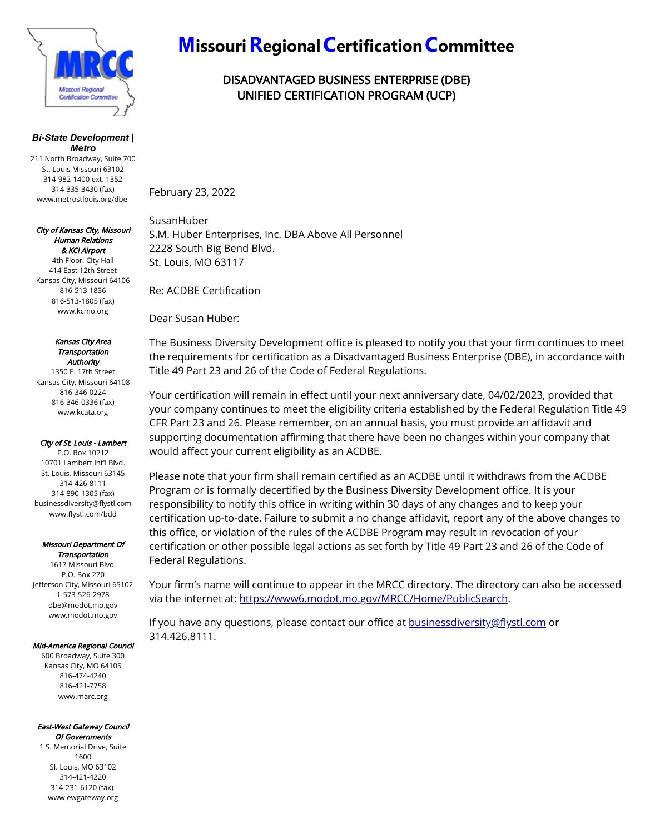

#### *Bi-State Development | Metro*

211 North Broadway, Suite 700 St. Louis Missouri 63102 314-982-1400 ext. 1352 314-335-3430 (fax) www.metrostlouis.org/dbe

#### City of Kansas City, Missouri Human Relations & KCI Airport

4th Floor, City Hall 414 East 12th Street Kansas City, Missouri 64106 816-513-1836 816-513-1805 (fax) www.kcmo.org

#### Kansas City Area Transportation **Authority**

1350 E. 17th Street Kansas City, Missouri 64108 816-346-0224 816-346-0336 (fax) www.kcata.org

#### City of St. Louis - Lambert

P.O. Box 10212 10701 Lambert Int'l Blvd. St. Louis, Missouri 63145 314-426-8111 314-890-1305 (fax) businessdiversity@flystl.com www.flystl.com/bdd

### Missouri Department Of

Transportation 1617 Missouri Blvd. P.O. Box 270 Jefferson City, Missouri 65102 1-573-526-2978 dbe@modot.mo.gov www.modot.mo.gov

#### Mid-America Regional Council

600 Broadway, Suite 300 Kansas City, MO 64105 816-474-4240 816-421-7758 www.marc.org

#### East-West Gateway Council Of Governments

1 S. Memorial Drive, Suite 1600 SI. Louis, MO 63102 314-421-4220 314-231-6120 (fax) www.ewgateway.org

# **Missouri Regional Certification Committee**

## DISADVANTAGED BUSINESS ENTERPRISE (DBE) UNIFIED CERTIFICATION PROGRAM (UCP)

February 23, 2022

SusanHuber S.M. Huber Enterprises, Inc. DBA Above All Personnel 2228 South Big Bend Blvd. St. Louis, MO 63117

Re: ACDBE Certification

Dear Susan Huber:

The Business Diversity Development office is pleased to notify you that your firm continues to meet the requirements for certification as a Disadvantaged Business Enterprise (DBE), in accordance with Title 49 Part 23 and 26 of the Code of Federal Regulations.

Your certification will remain in effect until your next anniversary date, 04/02/2023, provided that your company continues to meet the eligibility criteria established by the Federal Regulation Title 49 CFR Part 23 and 26. Please remember, on an annual basis, you must provide an affidavit and supporting documentation affirming that there have been no changes within your company that would affect your current eligibility as an ACDBE.

Please note that your firm shall remain certified as an ACDBE until it withdraws from the ACDBE Program or is formally decertified by the Business Diversity Development office. It is your responsibility to notify this office in writing within 30 days of any changes and to keep your certification up-to-date. Failure to submit a no change affidavit, report any of the above changes to this office, or violation of the rules of the ACDBE Program may result in revocation of your certification or other possible legal actions as set forth by Title 49 Part 23 and 26 of the Code of Federal Regulations.

Your firm's name will continue to appear in the MRCC directory. The directory can also be accessed via the internet at: https://www6.modot.mo.gov/MRCC/Home/PublicSearch.

If you have any questions, please contact our office at **businessdiversity@flystl.com** or 314.426.8111.